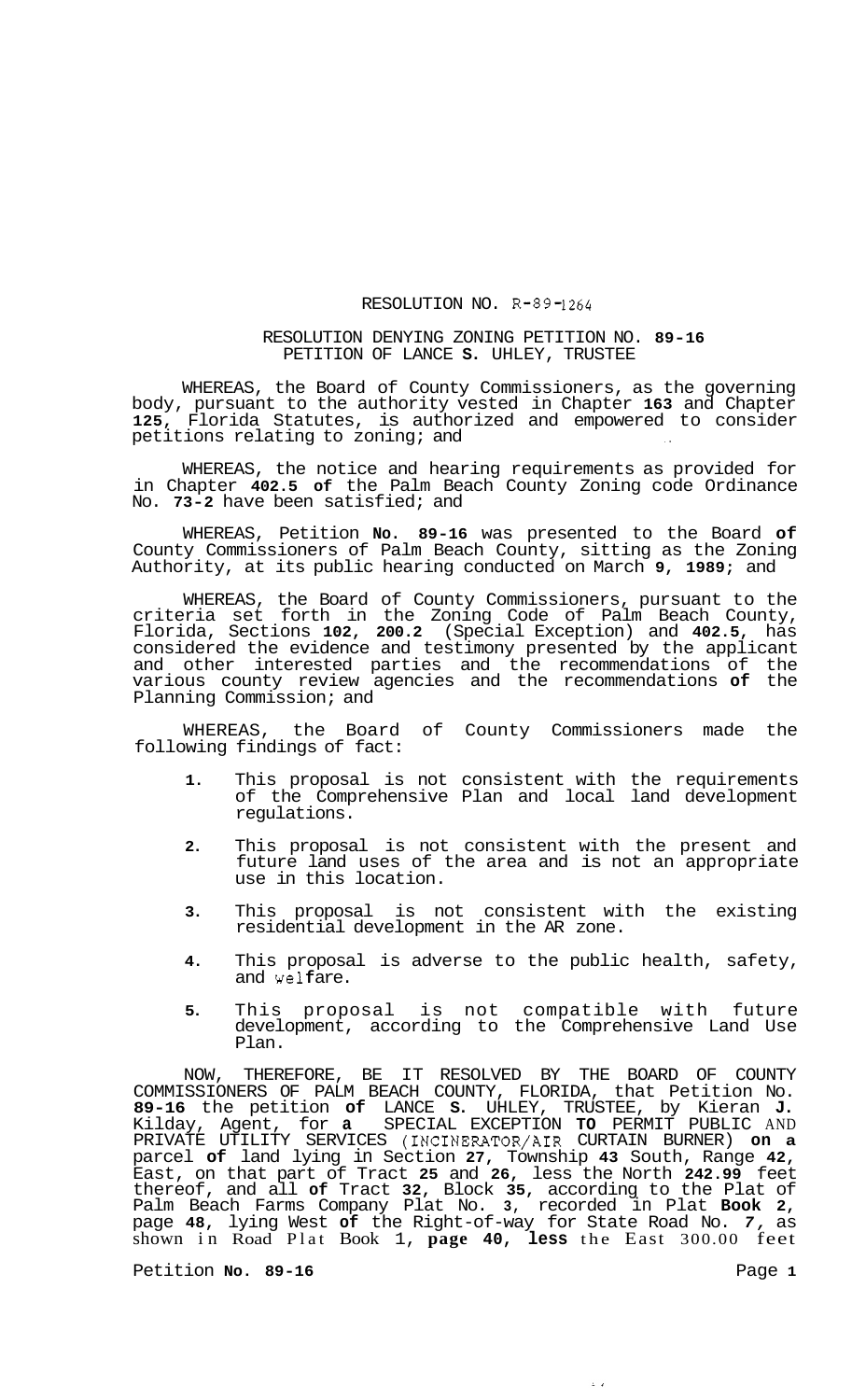## RESOLUTION NO. R-89-1264

## RESOLUTION DENYING ZONING PETITION NO. **89-16**  PETITION OF LANCE **S.** UHLEY, TRUSTEE

WHEREAS, the Board of County Commissioners, as the governing body, pursuant to the authority vested in Chapter **163** and Chapter **125,** Florida Statutes, is authorized and empowered to consider petitions relating to zoning; and

WHEREAS, the notice and hearing requirements as provided for in Chapter **402.5 of** the Palm Beach County Zoning code Ordinance No. **73-2** have been satisfied; and

WHEREAS, Petition **No. 89-16** was presented to the Board **of**  County Commissioners of Palm Beach County, sitting as the Zoning Authority, at its public hearing conducted on March **9, 1989;** and

WHEREAS, the Board of County Commissioners, pursuant to the criteria set forth in the Zoning Code of Palm Beach County, Florida, Sections **102, 200.2** (Special Exception) and **402.5,** has considered the evidence and testimony presented by the applicant and other interested parties and the recommendations of the various county review agencies and the recommendations **of** the Planning Commission; and

WHEREAS, the Board of County Commissioners made the following findings of fact:

- **1.** This proposal is not consistent with the requirements of the Comprehensive Plan and local land development regulations.
- **2.** This proposal is not consistent with the present and future land uses of the area and is not an appropriate use in this location.
- **3.** This proposal is not consistent with the existing residential development in the AR zone.
- **4.** This proposal is adverse to the public health, safety, and welfare.
- **5.** This proposal is not compatible with future development, according to the Comprehensive Land Use Plan.

 $\frac{1}{2}$ 

NOW, THEREFORE, BE IT RESOLVED BY THE BOARD OF COUNTY COMMISSIONERS OF PALM BEACH COUNTY, FLORIDA, that Petition No. **89-16** the petition **of** LANCE **S.** UHLEY, TRUSTEE, by Kieran **J.**  Kilday, Agent, for **a** SPECIAL EXCEPTION **TO** PERMIT PUBLIC AND PRIVATE UTILITY SERVICES (INCINERATOR/AIR CURTAIN BURNER) **on a**  parcel **of** land lying in Section **27,** Township **43** South, Range **42,**  East, on that part of Tract **25** and **26,** less the North **242.99** feet thereof, and all **of** Tract **32,** Block **35,** according to the Plat of Palm Beach Farms Company Plat No. **3,** recorded in Plat **Book 2,**  page **48,** lying West **of** the Right-of-way for State Road No. *7,* as shown in Road Plat Book 1, **page 40, less** the East 300.00 feet

Petition **No. 89-16 Page 1**